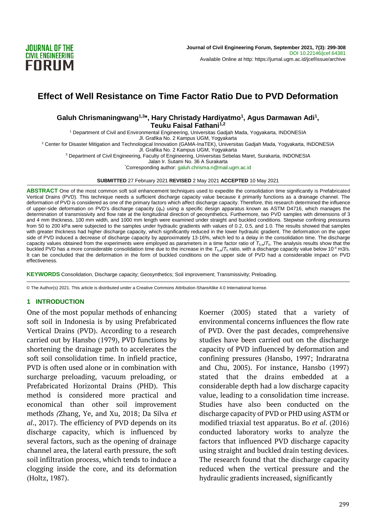

# **Effect of Well Resistance on Time Factor Ratio Due to PVD Deformation**

### **Galuh Chrismaningwang1,3\*, Hary Christady Hardiyatmo<sup>1</sup> , Agus Darmawan Adi<sup>1</sup> , Teuku Faisal Fathani1,2**

<sup>1</sup> Department of Civil and Environmental Engineering, Universitas Gadjah Mada, Yogyakarta, INDONESIA

Jl. Grafika No. 2 Kampus UGM, Yogyakarta <sup>2</sup> Center for Disaster Mitigation and Technological Innovation (GAMA-InaTEK), Universitas Gadjah Mada, Yogyakarta, INDONESIA

Jl. Grafika No. 2 Kampus UGM, Yogyakarta

<sup>3</sup> Department of Civil Engineering, Faculty of Engineering, Universitas Sebelas Maret, Surakarta, INDONESIA

Jalan Ir. Sutami No. 36 A Surakarta

\*Corresponding author[: galuh.chrisma.n@mail.ugm.ac.id](mailto:galuh.chrisma.n@mail.ugm.ac.id)

#### **SUBMITTED** 27 February 2021 **REVISED** 2 May 2021 **ACCEPTED** 10 May 2021

ABSTRACT One of the most common soft soil enhancement techniques used to expedite the consolidation time significantly is Prefabricated Vertical Drains (PVD). This technique needs a sufficient discharge capacity value because it primarily functions as a drainage channel. The deformation of PVD is considered as one of the primary factors which affect discharge capacity. Therefore, this research determined the influence of upper-side deformation on PVD's discharge capacity (*qw*) using a specific design apparatus known as ASTM D4716, which manages the determination of transmissivity and flow rate at the longitudinal direction of geosynthetics. Furthermore, two PVD samples with dimensions of 3 and 4 mm thickness, 100 mm width, and 1000 mm length were examined under straight and buckled conditions. Stepwise confining pressures from 50 to 200 kPa were subjected to the samples under hydraulic gradients with values of 0.2, 0.5, and 1.0. The results showed that samples with greater thickness had higher discharge capacity, which significantly reduced in the lower hydraulic gradient. The deformation on the upper side of PVD induced a decrease of discharge capacity by approximately 13-16%, which led to a delay in the consolidation time. The discharge capacity values obtained from the experiments were employed as parameters in a time factor ratio of  $T_{h,w}/T_h$ . The analysis results show that the buckled PVD has a more considerable consolidation time due to the increase in the  $T_{h,w}/T_h$  ratio, with a discharge capacity value below 10<sup>-4</sup> m3/s. It can be concluded that the deformation in the form of buckled conditions on the upper side of PVD had a considerable impact on PVD effectiveness.

**KEYWORDS** Consolidation, Discharge capacity; Geosynthetics; Soil improvement; Transmissivity; Preloading.

© The Author(s) 2021. This article is distributed under a Creative Commons Attribution-ShareAlike 4.0 International license.

### **1 INTRODUCTION**

One of the most popular methods of enhancing soft soil in Indonesia is by using Prefabricated Vertical Drains (PVD). According to a research carried out by Hansbo (1979), PVD functions by shortening the drainage path to accelerates the soft soil consolidation time. In infield practice, PVD is often used alone or in combination with surcharge preloading, vacuum preloading, or Prefabricated Horizontal Drains (PHD). This method is considered more practical and economical than other soil improvement methods *(*Zhang, Ye, and Xu, 2018; Da Silva *et al*., 2017). The efficiency of PVD depends on its discharge capacity, which is influenced by several factors, such as the opening of drainage channel area, the lateral earth pressure, the soft soil infiltration process, which tends to induce a clogging inside the core, and its deformation (Holtz, 1987).

Koerner (2005) stated that a variety of environmental concerns influences the flow rate of PVD. Over the past decades, comprehensive studies have been carried out on the discharge capacity of PVD influenced by deformation and confining pressures (Hansbo, 1997; Indraratna and Chu, 2005). For instance, Hansbo (1997) stated that the drains embedded at a considerable depth had a low discharge capacity value, leading to a consolidation time increase. Studies have also been conducted on the discharge capacity of PVD or PHD using ASTM or modified triaxial test apparatus. Bo *et al*. (2016) conducted laboratory works to analyze the factors that influenced PVD discharge capacity using straight and buckled drain testing devices. The research found that the discharge capacity reduced when the vertical pressure and the hydraulic gradients increased, significantly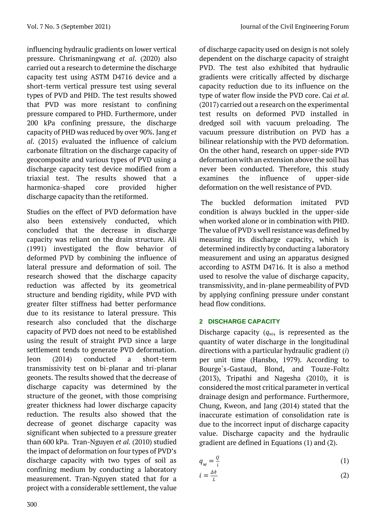influencing hydraulic gradients on lower vertical pressure. Chrismaningwang *et al*. (2020) also carried out a research to determine the discharge capacity test using ASTM D4716 device and a short-term vertical pressure test using several types of PVD and PHD. The test results showed that PVD was more resistant to confining pressure compared to PHD. Furthermore, under 200 kPa confining pressure, the discharge capacity of PHD was reduced by over 90%. Jang *et al*. (2015) evaluated the influence of calcium carbonate filtration on the discharge capacity of geocomposite and various types of PVD using a discharge capacity test device modified from a triaxial test. The results showed that a harmonica-shaped core provided higher discharge capacity than the retiformed.

Studies on the effect of PVD deformation have also been extensively conducted, which concluded that the decrease in discharge capacity was reliant on the drain structure. Ali (1991) investigated the flow behavior of deformed PVD by combining the influence of lateral pressure and deformation of soil. The research showed that the discharge capacity reduction was affected by its geometrical structure and bending rigidity, while PVD with greater filter stiffness had better performance due to its resistance to lateral pressure. This research also concluded that the discharge capacity of PVD does not need to be established using the result of straight PVD since a large settlement tends to generate PVD deformation. Jeon (2014) conducted a short-term transmissivity test on bi-planar and tri-planar geonets. The results showed that the decrease of discharge capacity was determined by the structure of the geonet, with those comprising greater thickness had lower discharge capacity reduction. The results also showed that the decrease of geonet discharge capacity was significant when subjected to a pressure greater than 600 kPa. Tran-Nguyen *et al.* (2010) studied the impact of deformation on four types of PVD's discharge capacity with two types of soil as confining medium by conducting a laboratory measurement. Tran-Nguyen stated that for a project with a considerable settlement, the value

of discharge capacity used on design is not solely dependent on the discharge capacity of straight PVD. The test also exhibited that hydraulic gradients were critically affected by discharge capacity reduction due to its influence on the type of water flow inside the PVD core. Cai *et al*. (2017) carried out a research on the experimental test results on deformed PVD installed in dredged soil with vacuum preloading. The vacuum pressure distribution on PVD has a bilinear relationship with the PVD deformation. On the other hand, research on upper-side PVD deformation with an extension above the soil has never been conducted. Therefore, this study examines the influence of upper-side deformation on the well resistance of PVD.

The buckled deformation imitated PVD condition is always buckled in the upper-side when worked alone or in combination with PHD. The value of PVD's well resistance was defined by measuring its discharge capacity, which is determined indirectly by conducting a laboratory measurement and using an apparatus designed according to ASTM D4716. It is also a method used to resolve the value of discharge capacity, transmissivity, and in-plane permeability of PVD by applying confining pressure under constant head flow conditions.

# **2 DISCHARGE CAPACITY**

Discharge capacity  $(q_w)$ , is represented as the quantity of water discharge in the longitudinal directions with a particular hydraulic gradient (*i*) per unit time (Hansbo, 1979). According to Bourge`s-Gastaud, Blond, and Touze-Foltz (2013), Tripathi and Nagesha (2010), it is considered the most critical parameter in vertical drainage design and performance. Furthermore, Chung, Kweon, and Jang (2014) stated that the inaccurate estimation of consolidation rate is due to the incorrect input of discharge capacity value. Discharge capacity and the hydraulic gradient are defined in Equations (1) and (2).

$$
q_w = \frac{Q}{i} \tag{1}
$$

$$
i = \frac{\Delta h}{L} \tag{2}
$$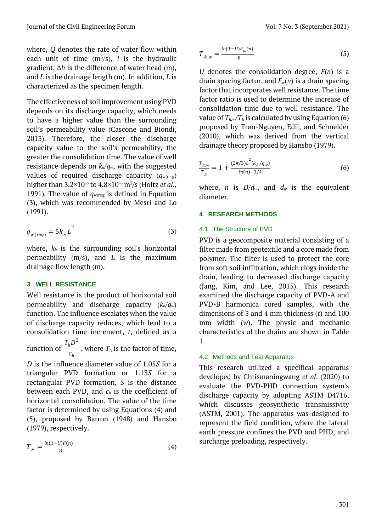where, *Q* denotes the rate of water flow within each unit of time  $(m^3/s)$ , *i* is the hydraulic gradient, ∆*h* is the difference of water head (m), and *L* is the drainage length (m). In addition, *L* is characterized as the specimen length.

The effectiveness of soil improvement using PVD depends on its discharge capacity, which needs to have a higher value than the surrounding soil's permeability value (Cascone and Biondi, 2013). Therefore, the closer the discharge capacity value to the soil's permeability, the greater the consolidation time. The value of well resistance depends on *kh*/*qw*, with the suggested values of required discharge capacity  $(q_{w(\text{req})})$ higher than 3.2×10-6 to 4.8×10-6 m<sup>3</sup> /s (Holtz *et al*., 1991). The value of  $q_{w(\text{req})}$  is defined in Equation (3), which was recommended by Mesri and Lo (1991).

$$
q_{w(\text{req})} = 5k_{h}L^{2}
$$
 (3)

where,  $k_h$  is the surrounding soil's horizontal permeability (m/s), and *L* is the maximum drainage flow length (m).

# **3 WELL RESISTANCE**

Well resistance is the product of horizontal soil permeability and discharge capacity (*kh/qw*) function. The influence escalates when the value of discharge capacity reduces, which lead to a consolidation time increment, *t*, defined as a function of *h*  $T_h D^2$ , where  $T<sub>h</sub>$  is the factor of time,

*h c D* is the influence diameter value of 1.05*S* for a triangular PVD formation or 1.13*S* for a rectangular PVD formation, *S* is the distance between each PVD, and *c*<sup>h</sup> is the coefficient of

horizontal consolidation. The value of the time factor is determined by using Equations (4) and (5), proposed by Barron (1948) and Hansbo (1979), respectively.

$$
T_{h} = \frac{\ln(1 - U)F(n)}{-8}
$$
 (4)

$$
T_{\lambda,w} = \frac{\ln(1-U)F_w(n)}{-8}
$$
 (5)

*U* denotes the consolidation degree, *F*(*n*) is a drain spacing factor, and *F*w(*n*) is a drain spacing factor that incorporates well resistance. The time factor ratio is used to determine the increase of consolidation time due to well resistance. The value of  $T_{h,w}/T_h$  is calculated by using Equation (6) proposed by Tran-Nguyen, Edil, and Schneider (2010), which was derived from the vertical drainage theory proposed by Hansbo (1979).

$$
\frac{T_{\lambda,w}}{T_{\lambda}} = 1 + \frac{(2\pi/3)L^2(k_{\lambda}/q_w)}{\ln(n) - 3/4}
$$
(6)

where, *n* is  $D/d_w$ , and  $d_w$  is the equivalent diameter.

### **4 RESEARCH METHODS**

## 4.1 The Structure of PVD

PVD is a geocomposite material consisting of a filter made from geotextile and a core made from polymer. The filter is used to protect the core from soft soil infiltration, which clogs inside the drain, leading to decreased discharge capacity (Jang, Kim, and Lee, 2015). This research examined the discharge capacity of PVD-A and PVD-B harmonica cored samples, with the dimensions of 3 and 4 mm thickness (*t*) and 100 mm width (*w*). The physic and mechanic characteristics of the drains are shown in Table 1.

### 4.2 Methods and Test Apparatus

This research utilized a specifical apparatus developed by Chrismaningwang *et al*. (2020) to evaluate the PVD-PHD connection system's discharge capacity by adopting ASTM D4716, which discusses geosynthetic transmissivity (ASTM, 2001). The apparatus was designed to represent the field condition, where the lateral earth pressure confines the PVD and PHD, and surcharge preloading, respectively.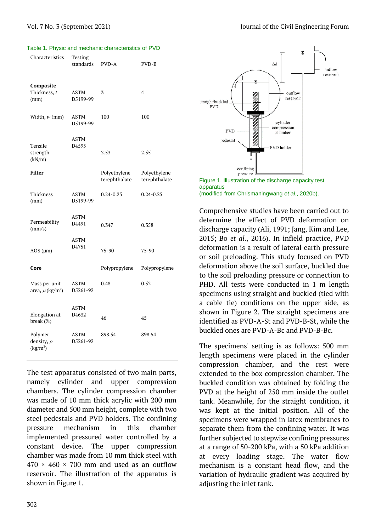|  | Table 1. Physic and mechanic characteristics of PVD |  |
|--|-----------------------------------------------------|--|
|  |                                                     |  |

| Characteristics                                   | Testing<br>standards | PVD-A                         | PVD-B                         |
|---------------------------------------------------|----------------------|-------------------------------|-------------------------------|
| Composite<br>Thickness, t<br>(mm)                 | ASTM<br>D5199-99     | 3                             | $\overline{4}$                |
| Width, w (mm)                                     | ASTM<br>D5199-99     | 100                           | 100                           |
| Tensile<br>strength<br>(kN/m)                     | <b>ASTM</b><br>D4595 | 2.53                          | 2.55                          |
| Filter                                            |                      | Polyethylene<br>terephthalate | Polyethylene<br>terephthalate |
| Thickness<br>(mm)                                 | ASTM<br>D5199-99     | $0.24 - 0.25$                 | $0.24 - 0.25$                 |
| Permeability<br>(mm/s)                            | ASTM<br>D4491        | 0.347                         | 0.358                         |
| $AOS$ ( $\mu$ m)                                  | ASTM<br>D4751        | $75 - 90$                     | $75-90$                       |
| Core                                              |                      | Polypropylene                 | Polypropylene                 |
| Mass per unit<br>area, $\mu$ (kg/m <sup>2</sup> ) | ASTM<br>D5261-92     | 0.48                          | 0.52                          |
| Elongation at<br>break $(\%)$                     | ASTM<br>D4632        | 46                            | 45                            |
| Polymer<br>density, $\rho$<br>$(kg/m^3)$          | ASTM<br>D5261-92     | 898.54                        | 898.54                        |

The test apparatus consisted of two main parts, namely cylinder and upper compression chambers. The cylinder compression chamber was made of 10 mm thick acrylic with 200 mm diameter and 500 mm height, complete with two steel pedestals and PVD holders. The confining pressure mechanism in this chamber implemented pressured water controlled by a constant device. The upper compression chamber was made from 10 mm thick steel with  $470 \times 460 \times 700$  mm and used as an outflow reservoir. The illustration of the apparatus is shown in Figure 1.



Figure 1. Illustration of the discharge capacity test apparatus (modified from Chrismaningwang *et al*., 2020b).

Comprehensive studies have been carried out to determine the effect of PVD deformation on discharge capacity (Ali, 1991; Jang, Kim and Lee, 2015; Bo *et al*., 2016). In infield practice, PVD deformation is a result of lateral earth pressure or soil preloading. This study focused on PVD deformation above the soil surface, buckled due to the soil preloading pressure or connection to PHD. All tests were conducted in 1 m length specimens using straight and buckled (tied with a cable tie) conditions on the upper side, as shown in Figure 2. The straight specimens are identified as PVD-A-St and PVD-B-St, while the buckled ones are PVD-A-Bc and PVD-B-Bc.

The specimens' setting is as follows: 500 mm length specimens were placed in the cylinder compression chamber, and the rest were extended to the box compression chamber. The buckled condition was obtained by folding the PVD at the height of 250 mm inside the outlet tank. Meanwhile, for the straight condition, it was kept at the initial position. All of the specimens were wrapped in latex membranes to separate them from the confining water. It was further subjected to stepwise confining pressures at a range of 50-200 kPa, with a 50 kPa addition at every loading stage. The water flow mechanism is a constant head flow, and the variation of hydraulic gradient was acquired by adjusting the inlet tank.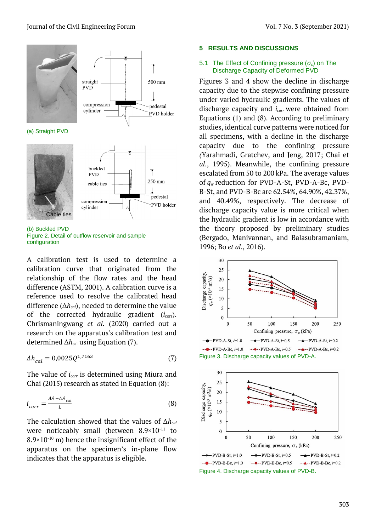

(a) Straight PVD





500 mm

pedestal

PVD holder

(b) Buckled PVD Figure 2. Detail of outflow reservoir and sample configuration

A calibration test is used to determine a calibration curve that originated from the relationship of the flow rates and the head difference (ASTM, 2001). A calibration curve is a reference used to resolve the calibrated head difference (∆*hcal*), needed to determine the value of the corrected hydraulic gradient  $(i_{corr})$ . Chrismaningwang *et al*. (2020) carried out a research on the apparatus's calibration test and determined  $\Delta h_{\text{cal}}$  using Equation (7).

$$
\Delta h_{cal} = 0.0025Q^{1,7163} \tag{7}
$$

The value of *icorr* is determined using Miura and Chai (2015) research as stated in Equation (8):

$$
i_{corr} = \frac{\Delta h - \Delta h_{cal}}{L}
$$
 (8)

The calculation showed that the values of ∆*hcal* were noticeably small (between 8.9×10<sup>-11</sup> to  $8.9 \times 10^{-10}$  m) hence the insignificant effect of the apparatus on the specimen's in-plane flow indicates that the apparatus is eligible.

#### **5 RESULTS AND DISCUSSIONS**

### 5.1 The Effect of Confining pressure (*σc*) on The Discharge Capacity of Deformed PVD

Figures 3 and 4 show the decline in discharge capacity due to the stepwise confining pressure under varied hydraulic gradients. The values of discharge capacity and *icorr* were obtained from Equations (1) and (8). According to preliminary studies, identical curve patterns were noticed for all specimens, with a decline in the discharge capacity due to the confining pressure *(*Yarahmadi, Gratchev, and Jeng, 2017; Chai et *al*., 1995). Meanwhile, the confining pressure escalated from 50 to 200 kPa. The average values of *q<sup>w</sup>* reduction for PVD-A-St, PVD-A-Bc, PVD-B-St, and PVD-B-Bc are 62.54%, 64.90%, 42.37%, and 40.49%, respectively. The decrease of discharge capacity value is more critical when the hydraulic gradient is low in accordance with the theory proposed by preliminary studies (Bergado, Manivannan, and Balasubramaniam, 1996; Bo *et al*., 2016).





Figure 4. Discharge capacity values of PVD-B.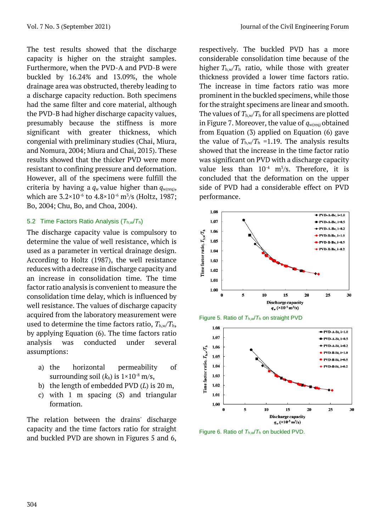The test results showed that the discharge capacity is higher on the straight samples. Furthermore, when the PVD-A and PVD-B were buckled by 16.24% and 13.09%, the whole drainage area was obstructed, thereby leading to a discharge capacity reduction. Both specimens had the same filter and core material, although the PVD-B had higher discharge capacity values, presumably because the stiffness is more significant with greater thickness, which congenial with preliminary studies (Chai, Miura, and Nomura, 2004; Miura and Chai, 2015). These results showed that the thicker PVD were more resistant to confining pressure and deformation. However, all of the specimens were fulfill the criteria by having a  $q_w$  value higher than  $q_{w(\text{req})}$ , which are  $3.2 \times 10^{-6}$  to  $4.8 \times 10^{-6}$  m<sup>3</sup>/s (Holtz, 1987; Bo, 2004; Chu, Bo, and Choa, 2004).

## 5.2 Time Factors Ratio Analysis (*T*h,w/*T*h)

The discharge capacity value is compulsory to determine the value of well resistance, which is used as a parameter in vertical drainage design. According to Holtz (1987), the well resistance reduces with a decrease in discharge capacity and an increase in consolidation time. The time factor ratio analysis is convenient to measure the consolidation time delay, which is influenced by well resistance. The values of discharge capacity acquired from the laboratory measurement were used to determine the time factors ratio,  $T_{h,w}/T_h$ , by applying Equation (6). The time factors ratio analysis was conducted under several assumptions:

- a) the horizontal permeability of surrounding soil  $(k_h)$  is  $1 \times 10^{-8}$  m/s,
- b) the length of embedded PVD (*L*) is 20 m,
- c) with 1 m spacing (*S*) and triangular formation.

The relation between the drains' discharge capacity and the time factors ratio for straight and buckled PVD are shown in Figures 5 and 6, respectively. The buckled PVD has a more considerable consolidation time because of the higher  $T_{h,w}/T_h$  ratio, while those with greater thickness provided a lower time factors ratio. The increase in time factors ratio was more prominent in the buckled specimens, while those for the straight specimens are linear and smooth. The values of  $T_{h,w}/T_h$  for all specimens are plotted in Figure 7. Moreover, the value of  $q_{w(\text{req})}$ obtained from Equation (3) applied on Equation (6) gave the value of  $T_{h,w}/T_h$  =1.19. The analysis results showed that the increase in the time factor ratio was significant on PVD with a discharge capacity value less than  $10^{-4}$  m<sup>3</sup>/s. Therefore, it is concluded that the deformation on the upper side of PVD had a considerable effect on PVD performance.



Figure 5. Ratio of *T*h,w/*T*<sup>h</sup> on straight PVD



Figure 6. Ratio of *T*h,w/*T*<sup>h</sup> on buckled PVD.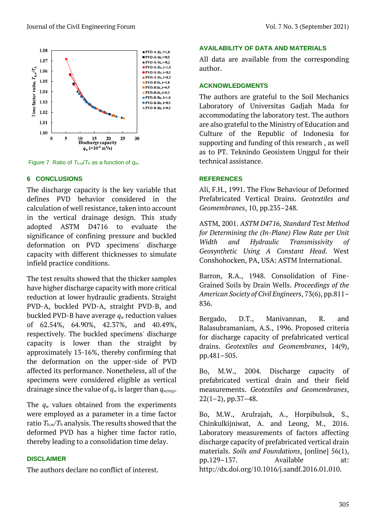

Figure 7. Ratio of *T*h,w/*T*<sup>h</sup> as a function of *qw*.

## **6 CONCLUSIONS**

The discharge capacity is the key variable that defines PVD behavior considered in the calculation of well resistance, taken into account in the vertical drainage design. This study adopted ASTM D4716 to evaluate the significance of confining pressure and buckled deformation on PVD specimens' discharge capacity with different thicknesses to simulate infield practice conditions.

The test results showed that the thicker samples have higher discharge capacity with more critical reduction at lower hydraulic gradients. Straight PVD-A, buckled PVD-A, straight PVD-B, and buckled PVD-B have average *q<sup>w</sup>* reduction values of 62.54%, 64.90%, 42.37%, and 40.49%, respectively. The buckled specimens' discharge capacity is lower than the straight by approximately 13-16%, thereby confirming that the deformation on the upper-side of PVD affected its performance. Nonetheless, all of the specimens were considered eligible as vertical drainage since the value of *q<sup>w</sup>* is larger than *qw(req)*.

The *q<sup>w</sup>* values obtained from the experiments were employed as a parameter in a time factor ratio  $T_{\rm h,w}/T_{\rm h}$  analysis. The results showed that the deformed PVD has a higher time factor ratio, thereby leading to a consolidation time delay.

### **DISCLAIMER**

The authors declare no conflict of interest.

### **AVAILABILITY OF DATA AND MATERIALS**

All data are available from the corresponding author.

### **ACKNOWLEDGMENTS**

The authors are grateful to the Soil Mechanics Laboratory of Universitas Gadjah Mada for accommodating the laboratory test. The authors are also grateful to the Ministry of Education and Culture of the Republic of Indonesia for supporting and funding of this research , as well as to PT. Teknindo Geosistem Unggul for their technical assistance.

## **REFERENCES**

Ali, F.H., 1991. The Flow Behaviour of Deformed Prefabricated Vertical Drains. *Geotextiles and Geomembranes*, 10, pp.235–248.

ASTM, 2001. *ASTM D4716, Standard Test Method for Determining the (In-Plane) Flow Rate per Unit Width and Hydraulic Transmissivity of Geosynthetic Using A Constant Head*. West Conshohocken, PA, USA: ASTM International.

Barron, R.A., 1948. Consolidation of Fine-Grained Soils by Drain Wells. *Proceedings of the American Society of Civil Engineers*, 73(6), pp.811– 836.

Bergado, D.T., Manivannan, R. and Balasubramaniam, A.S., 1996. Proposed criteria for discharge capacity of prefabricated vertical drains. *Geotextiles and Geomembranes*, 14(9), pp.481–505.

Bo, M.W., 2004. Discharge capacity of prefabricated vertical drain and their field measurements. *Geotextiles and Geomembranes*,  $22(1-2)$ , pp. 37-48.

Bo, M.W., Arulrajah, A., Horpibulsuk, S., Chinkulkijniwat, A. and Leong, M., 2016. Laboratory measurements of factors affecting discharge capacity of prefabricated vertical drain materials. *Soils and Foundations*, [online] 56(1), pp.129–137. Available at: http://dx.doi.org/10.1016/j.sandf.2016.01.010.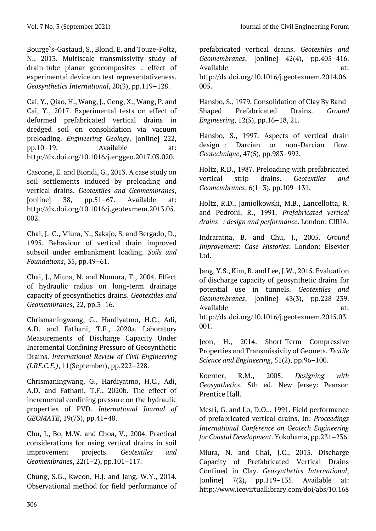Bourge`s-Gastaud, S., Blond, E. and Touze-Foltz, N., 2013. Multiscale transmissivity study of drain-tube planar geocomposites : effect of experimental device on test representativeness. *Geosynthetics International*, 20(3), pp.119–128.

Cai, Y., Qiao, H., Wang, J., Geng, X., Wang, P. and Cai, Y., 2017. Experimental tests on effect of deformed prefabricated vertical drains in dredged soil on consolidation via vacuum preloading. *Engineering Geology*, [online] 222, pp.10–19. Available at: http://dx.doi.org/10.1016/j.enggeo.2017.03.020.

Cascone, E. and Biondi, G., 2013. A case study on soil settlements induced by preloading and vertical drains. *Geotextiles and Geomembranes*, [online] 38, pp.51–67. Available at: http://dx.doi.org/10.1016/j.geotexmem.2013.05. 002.

Chai, J.-C., Miura, N., Sakajo, S. and Bergado, D., 1995. Behaviour of vertical drain improved subsoil under embankment loading. *Soils and Foundations*, 35, pp.49–61.

Chai, J., Miura, N. and Nomura, T., 2004. Effect of hydraulic radius on long-term drainage capacity of geosynthetics drains. *Geotextiles and Geomembranes*, 22, pp.3–16.

Chrismaningwang, G., Hardiyatmo, H.C., Adi, A.D. and Fathani, T.F., 2020a. Laboratory Measurements of Discharge Capacity Under Incremental Confining Pressure of Geosynthetic Drains. *International Review of Civil Engineering (I.RE.C.E.)*, 11(September), pp.222–228.

Chrismaningwang, G., Hardiyatmo, H.C., Adi, A.D. and Fathani, T.F., 2020b. The effect of incremental confining pressure on the hydraulic properties of PVD. *International Journal of GEOMATE*, 19(73), pp.41–48.

Chu, J., Bo, M.W. and Choa, V., 2004. Practical considerations for using vertical drains in soil improvement projects. *Geotextiles and Geomembranes*, 22(1–2), pp.101–117.

Chung, S.G., Kweon, H.J. and Jang, W.Y., 2014. Observational method for field performance of prefabricated vertical drains. *Geotextiles and Geomembranes*, [online] 42(4), pp.405–416. Available at: http://dx.doi.org/10.1016/j.geotexmem.2014.06. 005.

Hansbo, S., 1979. Consolidation of Clay By Band-Shaped Prefabricated Drains. *Ground Engineering*, 12(5), pp.16–18, 21.

Hansbo, S., 1997. Aspects of vertical drain design : Darcian or non-Darcian flow. *Geotechnique*, 47(5), pp.983–992.

Holtz, R.D., 1987. Preloading with prefabricated vertical strip drains. *Geotextiles and Geomembranes*, 6(1–3), pp.109–131.

Holtz, R.D., Jamiolkowski, M.B., Lancellotta, R. and Pedroni, R., 1991. *Prefabricated vertical drains : design and performance*. London: CIRIA.

Indraratna, B. and Chu, J., 2005. *Ground Improvement: Case Histories*. London: Elsevier Ltd.

Jang, Y.S., Kim, B. and Lee, J.W., 2015. Evaluation of discharge capacity of geosynthetic drains for potential use in tunnels. *Geotextiles and Geomembranes*, [online] 43(3), pp.228–239. Available at: http://dx.doi.org/10.1016/j.geotexmem.2015.03. 001.

Jeon, H., 2014. Short-Term Compressive Properties and Transmissivity of Geonets. *Textile Science and Engineering*, 51(2), pp.96–100.

Koerner, R.M., 2005. *Designing with Geosynthetics*. 5th ed. New Jersey: Pearson Prentice Hall.

Mesri, G. and Lo, D.O.., 1991. Field performance of prefabricated vertical drains. In: *Proceedings International Conference on Geotech Engineering for Coastal Development*. Yokohama, pp.231–236.

Miura, N. and Chai, J.C., 2015. Discharge Capacity of Prefabricated Vertical Drains Confined in Clay. *Geosynthetics International*, [online]  $7(2)$ , pp.119–135. Available at: http://www.icevirtuallibrary.com/doi/abs/10.168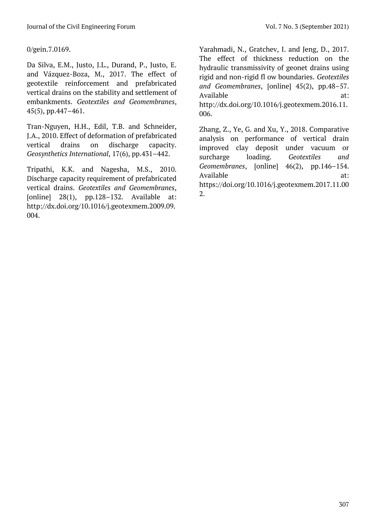0/gein.7.0169.

Da Silva, E.M., Justo, J.L., Durand, P., Justo, E. and Vázquez-Boza, M., 2017. The effect of geotextile reinforcement and prefabricated vertical drains on the stability and settlement of embankments. *Geotextiles and Geomembranes*, 45(5), pp.447–461.

Tran-Nguyen, H.H., Edil, T.B. and Schneider, J.A., 2010. Effect of deformation of prefabricated vertical drains on discharge capacity. *Geosynthetics International*, 17(6), pp.431–442.

Tripathi, K.K. and Nagesha, M.S., 2010. Discharge capacity requirement of prefabricated vertical drains. *Geotextiles and Geomembranes*, [online]  $28(1)$ , pp.128-132. Available at: http://dx.doi.org/10.1016/j.geotexmem.2009.09. 004.

Yarahmadi, N., Gratchev, I. and Jeng, D., 2017. The effect of thickness reduction on the hydraulic transmissivity of geonet drains using rigid and non-rigid fl ow boundaries. *Geotextiles and Geomembranes*, [online] 45(2), pp.48–57. Available at: http://dx.doi.org/10.1016/j.geotexmem.2016.11. 006.

Zhang, Z., Ye, G. and Xu, Y., 2018. Comparative analysis on performance of vertical drain improved clay deposit under vacuum or surcharge loading. *Geotextiles and Geomembranes*, [online] 46(2), pp.146–154. Available at: https://doi.org/10.1016/j.geotexmem.2017.11.00 2.